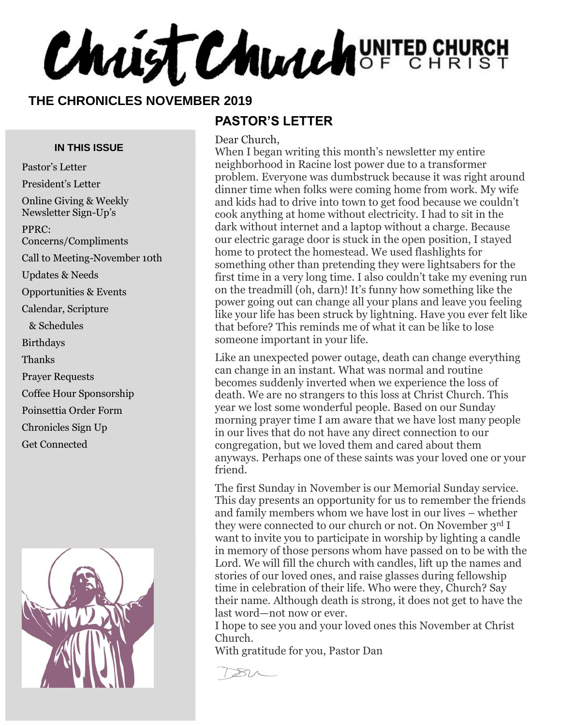**Christ Church** UNITED CHURCH

#### **THE CHRONICLES NOVEMBER 2019**

#### **PASTOR'S LETTER**

**IN THIS ISSUE**

Pastor's Letter President's Letter Online Giving & Weekly Newsletter Sign-Up's PPRC: Concerns/Compliments Call to Meeting-November 10th Updates & Needs Opportunities & Events Calendar, Scripture & Schedules Birthdays Thanks Prayer Requests Coffee Hour Sponsorship Poinsettia Order Form Chronicles Sign Up Get Connected



Dear Church, When I began writing this month's newsletter my entire neighborhood in Racine lost power due to a transformer problem. Everyone was dumbstruck because it was right around dinner time when folks were coming home from work. My wife and kids had to drive into town to get food because we couldn't cook anything at home without electricity. I had to sit in the dark without internet and a laptop without a charge. Because our electric garage door is stuck in the open position, I stayed home to protect the homestead. We used flashlights for something other than pretending they were lightsabers for the first time in a very long time. I also couldn't take my evening run on the treadmill (oh, darn)! It's funny how something like the power going out can change all your plans and leave you feeling like your life has been struck by lightning. Have you ever felt like that before? This reminds me of what it can be like to lose someone important in your life.

Like an unexpected power outage, death can change everything can change in an instant. What was normal and routine becomes suddenly inverted when we experience the loss of death. We are no strangers to this loss at Christ Church. This year we lost some wonderful people. Based on our Sunday morning prayer time I am aware that we have lost many people in our lives that do not have any direct connection to our congregation, but we loved them and cared about them anyways. Perhaps one of these saints was your loved one or your friend.

The first Sunday in November is our Memorial Sunday service. This day presents an opportunity for us to remember the friends and family members whom we have lost in our lives – whether they were connected to our church or not. On November 3rd I want to invite you to participate in worship by lighting a candle in memory of those persons whom have passed on to be with the Lord. We will fill the church with candles, lift up the names and stories of our loved ones, and raise glasses during fellowship time in celebration of their life. Who were they, Church? Say their name. Although death is strong, it does not get to have the last word—not now or ever.

I hope to see you and your loved ones this November at Christ Church.

With gratitude for you, Pastor Dan

 $\sqrt{21}$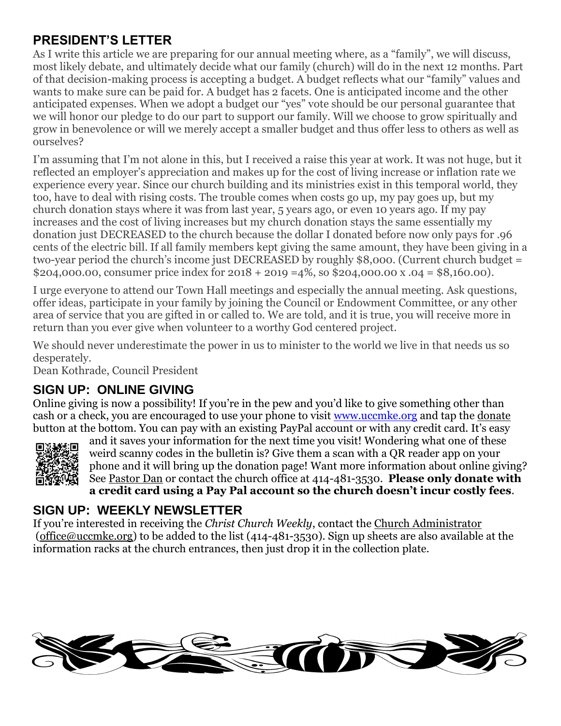### **PRESIDENT'S LETTER**

As I write this article we are preparing for our annual meeting where, as a "family", we will discuss, most likely debate, and ultimately decide what our family (church) will do in the next 12 months. Part of that decision-making process is accepting a budget. A budget reflects what our "family" values and wants to make sure can be paid for. A budget has 2 facets. One is anticipated income and the other anticipated expenses. When we adopt a budget our "yes" vote should be our personal guarantee that we will honor our pledge to do our part to support our family. Will we choose to grow spiritually and grow in benevolence or will we merely accept a smaller budget and thus offer less to others as well as ourselves?

I'm assuming that I'm not alone in this, but I received a raise this year at work. It was not huge, but it reflected an employer's appreciation and makes up for the cost of living increase or inflation rate we experience every year. Since our church building and its ministries exist in this temporal world, they too, have to deal with rising costs. The trouble comes when costs go up, my pay goes up, but my church donation stays where it was from last year, 5 years ago, or even 10 years ago. If my pay increases and the cost of living increases but my church donation stays the same essentially my donation just DECREASED to the church because the dollar I donated before now only pays for .96 cents of the electric bill. If all family members kept giving the same amount, they have been giving in a two-year period the church's income just DECREASED by roughly \$8,000. (Current church budget = \$204,000.00, consumer price index for  $2018 + 2019 = 4\%$ , so \$204,000.00 x .04 = \$8,160.00).

I urge everyone to attend our Town Hall meetings and especially the annual meeting. Ask questions, offer ideas, participate in your family by joining the Council or Endowment Committee, or any other area of service that you are gifted in or called to. We are told, and it is true, you will receive more in return than you ever give when volunteer to a worthy God centered project.

We should never underestimate the power in us to minister to the world we live in that needs us so desperately.

Dean Kothrade, Council President

### **SIGN UP: ONLINE GIVING**

Online giving is now a possibility! If you're in the pew and you'd like to give something other than cash or a check, you are encouraged to use your phone to visit [www.uccmke.org](http://www.uccmke.org/) and tap the [donate](https://www.paypal.com/cgi-bin/webscr?cmd=_s-xclick&hosted_button_id=D7W2VTZZBHZNU) button at the bottom. You can pay with an existing PayPal account or with any credit card. It's easy



and it saves your information for the next time you visit! Wondering what one of these weird scanny codes in the bulletin is? Give them a scan with a QR reader app on your phone and it will bring up the donation page! Want more information about online giving? See [Pastor Dan](mailto:dan_stark@att.net) or contact the church office at 414-481-3530. **Please only donate with a credit card using a Pay Pal account so the church doesn't incur costly fees**.

#### **SIGN UP: WEEKLY NEWSLETTER**

If you're interested in receiving the *Christ Church Weekly*, contact the [Church Administrator](mailto:christ-church@att.net) (office@uccmke.org) to be added to the list (414-481-3530). Sign up sheets are also available at the information racks at the church entrances, then just drop it in the collection plate.

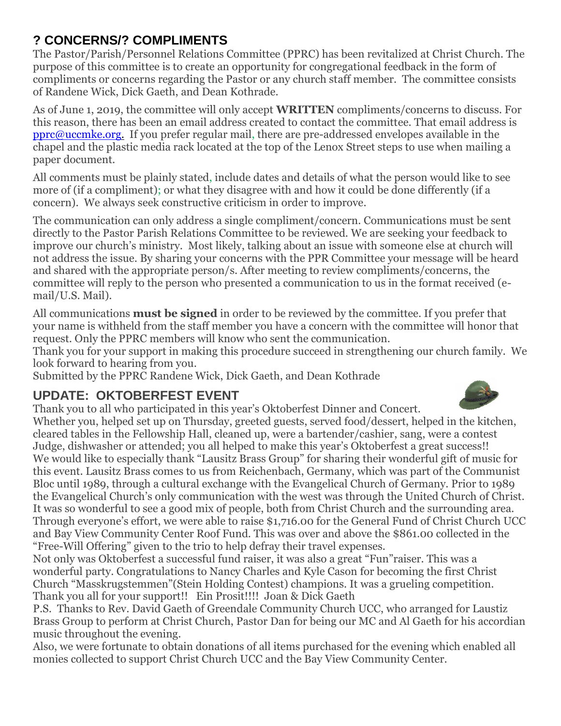### **? CONCERNS/? COMPLIMENTS**

The Pastor/Parish/Personnel Relations Committee (PPRC) has been revitalized at Christ Church. The purpose of this committee is to create an opportunity for congregational feedback in the form of compliments or concerns regarding the Pastor or any church staff member. The committee consists of Randene Wick, Dick Gaeth, and Dean Kothrade.

As of June 1, 2019, the committee will only accept **WRITTEN** compliments/concerns to discuss. For this reason, there has been an email address created to contact the committee. That email address is [pprc@uccmke.org.](mailto:pprc@uccmke.org) If you prefer regular mail, there are pre-addressed envelopes available in the chapel and the plastic media rack located at the top of the Lenox Street steps to use when mailing a paper document.

All comments must be plainly stated, include dates and details of what the person would like to see more of (if a compliment); or what they disagree with and how it could be done differently (if a concern). We always seek constructive criticism in order to improve.

The communication can only address a single compliment/concern. Communications must be sent directly to the Pastor Parish Relations Committee to be reviewed. We are seeking your feedback to improve our church's ministry. Most likely, talking about an issue with someone else at church will not address the issue. By sharing your concerns with the PPR Committee your message will be heard and shared with the appropriate person/s. After meeting to review compliments/concerns, the committee will reply to the person who presented a communication to us in the format received (email/U.S. Mail).

All communications **must be signed** in order to be reviewed by the committee. If you prefer that your name is withheld from the staff member you have a concern with the committee will honor that request. Only the PPRC members will know who sent the communication.

Thank you for your support in making this procedure succeed in strengthening our church family. We look forward to hearing from you.

Submitted by the PPRC Randene Wick, Dick Gaeth, and Dean Kothrade

### **UPDATE: OKTOBERFEST EVENT**

Thank you to all who participated in this year's Oktoberfest Dinner and Concert.

Whether you, helped set up on Thursday, greeted guests, served food/dessert, helped in the kitchen, cleared tables in the Fellowship Hall, cleaned up, were a bartender/cashier, sang, were a contest Judge, dishwasher or attended; you all helped to make this year's Oktoberfest a great success!! We would like to especially thank "Lausitz Brass Group" for sharing their wonderful gift of music for this event. Lausitz Brass comes to us from Reichenbach, Germany, which was part of the Communist Bloc until 1989, through a cultural exchange with the Evangelical Church of Germany. Prior to 1989 the Evangelical Church's only communication with the west was through the United Church of Christ. It was so wonderful to see a good mix of people, both from Christ Church and the surrounding area. Through everyone's effort, we were able to raise \$1,716.00 for the General Fund of Christ Church UCC and Bay View Community Center Roof Fund. This was over and above the \$861.00 collected in the "Free-Will Offering" given to the trio to help defray their travel expenses.

Not only was Oktoberfest a successful fund raiser, it was also a great "Fun"raiser. This was a wonderful party. Congratulations to Nancy Charles and Kyle Cason for becoming the first Christ Church "Masskrugstemmen"(Stein Holding Contest) champions. It was a grueling competition. Thank you all for your support!! Ein Prosit!!!! Joan & Dick Gaeth

P.S. Thanks to Rev. David Gaeth of Greendale Community Church UCC, who arranged for Laustiz Brass Group to perform at Christ Church, Pastor Dan for being our MC and Al Gaeth for his accordian music throughout the evening.

Also, we were fortunate to obtain donations of all items purchased for the evening which enabled all monies collected to support Christ Church UCC and the Bay View Community Center.

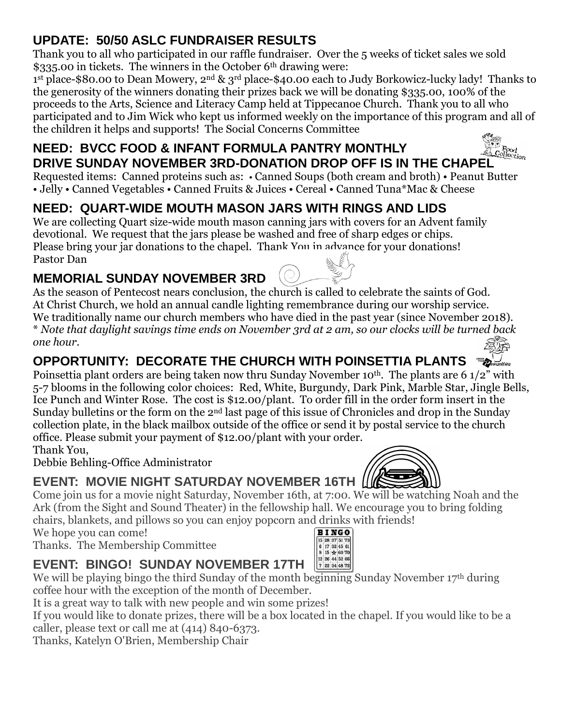# **UPDATE: 50/50 ASLC FUNDRAISER RESULTS**

Thank you to all who participated in our raffle fundraiser. Over the 5 weeks of ticket sales we sold \$335.00 in tickets. The winners in the October 6<sup>th</sup> drawing were:

1 st place-\$80.00 to Dean Mowery, 2nd & 3rd place-\$40.00 each to Judy Borkowicz-lucky lady! Thanks to the generosity of the winners donating their prizes back we will be donating \$335.00, 100% of the proceeds to the Arts, Science and Literacy Camp held at Tippecanoe Church. Thank you to all who participated and to Jim Wick who kept us informed weekly on the importance of this program and all of the children it helps and supports! The Social Concerns Committee

# **NEED: BVCC FOOD & INFANT FORMULA PANTRY MONTHLY NEED: BVCC FOOD & INFANT FORMULA PANTRY MONTHLY**<br>DRIVE SUNDAY NOVEMBER 3RD-DONATION DROP OFF IS IN THE CHAPEL

Requested items: Canned proteins such as: • Canned Soups (both cream and broth) • Peanut Butter • Jelly • Canned Vegetables • Canned Fruits & Juices • Cereal • Canned Tuna\*Mac & Cheese

# **NEED: QUART-WIDE MOUTH MASON JARS WITH RINGS AND LIDS**

We are collecting Quart size-wide mouth mason canning jars with covers for an Advent family devotional. We request that the jars please be washed and free of sharp edges or chips. Please bring your jar donations to the chapel. Thank You in advance for your donations! Pastor Dan

# **MEMORIAL SUNDAY NOVEMBER 3RD**

As the season of Pentecost nears conclusion, the church is called to celebrate the saints of God. At Christ Church, we hold an annual candle lighting remembrance during our worship service. We traditionally name our church members who have died in the past year (since November 2018). \* *Note that daylight savings time ends on November 3rd at 2 am, so our clocks will be turned back one hour.*

# **OPPORTUNITY: DECORATE THE CHURCH WITH POINSETTIA PLANTS**

Poinsettia plant orders are being taken now thru Sunday November 10<sup>th</sup>. The plants are 6 1/2" with 5-7 blooms in the following color choices: Red, White, Burgundy, Dark Pink, Marble Star, Jingle Bells, Ice Punch and Winter Rose. The cost is \$12.00/plant. To order fill in the order form insert in the Sunday bulletins or the form on the 2nd last page of this issue of Chronicles and drop in the Sunday collection plate, in the black mailbox outside of the office or send it by postal service to the church office. Please submit your payment of \$12.00/plant with your order.

Thank You,

Debbie Behling-Office Administrator

# **EVENT: MOVIE NIGHT SATURDAY NOVEMBER 16TH LIKES**

Come join us for a movie night Saturday, November 16th, at 7:00. We will be watching Noah and the Ark (from the Sight and Sound Theater) in the fellowship hall. We encourage you to bring folding chairs, blankets, and pillows so you can enjoy popcorn and drinks with friends!

> **BINGO** 15 28 37 51 73

We hope you can come!

Thanks. The Membership Committee

### $\begin{array}{c} 15\ 28\ 37\ 51\ 73 \\ \hline 6\ 17\ 32\ 45\ 61 \\ \hline 9\ 15\ \star\ 60\ 70 \\ \hline 12\ 26\ 44\ 52\ 66 \\ \hline 7\ 22\ 34\ 48\ 72 \end{array}$ **EVENT: BINGO! SUNDAY NOVEMBER 17TH**

We will be playing bingo the third Sunday of the month beginning Sunday November 17<sup>th</sup> during coffee hour with the exception of the month of December.

It is a great way to talk with new people and win some prizes!

If you would like to donate prizes, there will be a box located in the chapel. If you would like to be a caller, please text or call me at (414) 840-6373.

Thanks, Katelyn O'Brien, Membership Chair







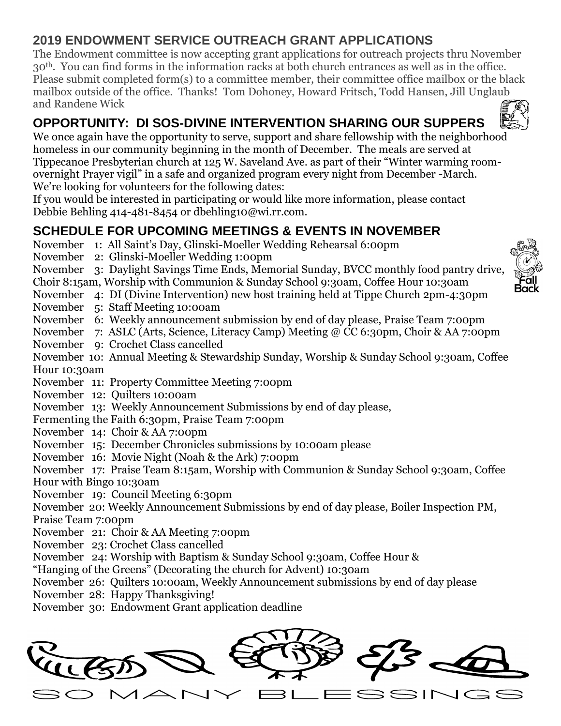# **2019 ENDOWMENT SERVICE OUTREACH GRANT APPLICATIONS**

The Endowment committee is now accepting grant applications for outreach projects thru November 30th. You can find forms in the information racks at both church entrances as well as in the office. Please submit completed form(s) to a committee member, their committee office mailbox or the black mailbox outside of the office. Thanks! Tom Dohoney, Howard Fritsch, Todd Hansen, Jill Unglaub and Randene Wick

# **OPPORTUNITY: DI SOS-DIVINE INTERVENTION SHARING OUR SUPPERS**

We once again have the opportunity to serve, support and share fellowship with the neighborhood homeless in our community beginning in the month of December. The meals are served at Tippecanoe Presbyterian church at 125 W. Saveland Ave. as part of their "Winter warming roomovernight Prayer vigil" in a safe and organized program every night from December -March. We're looking for volunteers for the following dates:

If you would be interested in participating or would like more information, please contact Debbie Behling 414-481-8454 or dbehling10@wi.rr.com.

# **SCHEDULE FOR UPCOMING MEETINGS & EVENTS IN NOVEMBER**

- November 1: All Saint's Day, Glinski-Moeller Wedding Rehearsal 6:00pm
- November 2: Glinski-Moeller Wedding 1:00pm
- November 3: Daylight Savings Time Ends, Memorial Sunday, BVCC monthly food pantry drive,

Choir 8:15am, Worship with Communion & Sunday School 9:30am, Coffee Hour 10:30am

- November 4: DI (Divine Intervention) new host training held at Tippe Church 2pm-4:30pm
- November 5: Staff Meeting 10:00am
- November 6: Weekly announcement submission by end of day please, Praise Team 7:00pm
- November 7: ASLC (Arts, Science, Literacy Camp) Meeting @ CC 6:30pm, Choir & AA 7:00pm
- November 9: Crochet Class cancelled

November 10: Annual Meeting & Stewardship Sunday, Worship & Sunday School 9:30am, Coffee Hour 10:30am

- November 11: Property Committee Meeting 7:00pm
- November 12: Quilters 10:00am
- November 13: Weekly Announcement Submissions by end of day please,
- Fermenting the Faith 6:30pm, Praise Team 7:00pm
- November 14: Choir & AA 7:00pm
- November 15: December Chronicles submissions by 10:00am please
- November 16: Movie Night (Noah & the Ark) 7:00pm

November 17: Praise Team 8:15am, Worship with Communion & Sunday School 9:30am, Coffee

Hour with Bingo 10:30am

November 19: Council Meeting 6:30pm

November 20: Weekly Announcement Submissions by end of day please, Boiler Inspection PM, Praise Team 7:00pm

- November 21: Choir & AA Meeting 7:00pm
- November 23: Crochet Class cancelled
- November 24: Worship with Baptism & Sunday School 9:30am, Coffee Hour &
- "Hanging of the Greens" (Decorating the church for Advent) 10:30am
- November 26: Quilters 10:00am, Weekly Announcement submissions by end of day please
- November 28: Happy Thanksgiving!
- November 30: Endowment Grant application deadline





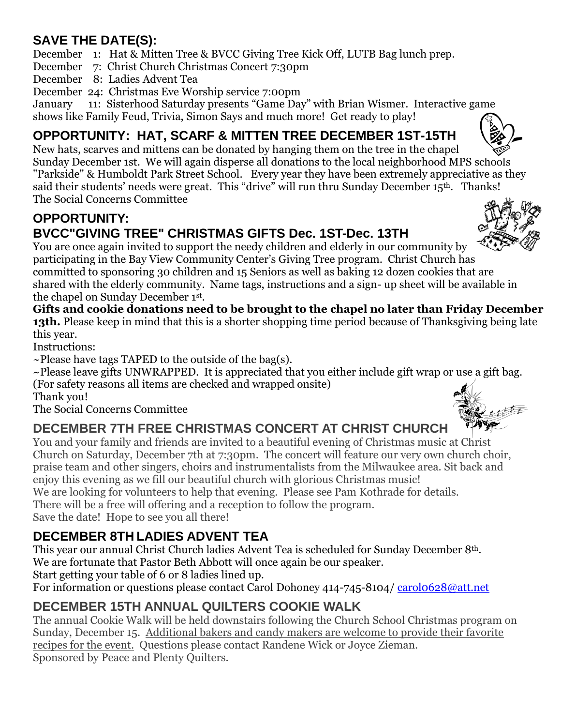# **SAVE THE DATE(S):**

December 1: Hat & Mitten Tree & BVCC Giving Tree Kick Off, LUTB Bag lunch prep.

December 7: Christ Church Christmas Concert 7:30pm

- December 8: Ladies Advent Tea
- December 24: Christmas Eve Worship service 7:00pm

January 11: Sisterhood Saturday presents "Game Day" with Brian Wismer. Interactive game shows like Family Feud, Trivia, Simon Says and much more! Get ready to play!

# **OPPORTUNITY: HAT, SCARF & MITTEN TREE DECEMBER 1ST-15TH**

New hats, scarves and mittens can be donated by hanging them on the tree in the chapel Sunday December 1st. We will again disperse all donations to the local neighborhood MPS schools "Parkside" & Humboldt Park Street School. Every year they have been extremely appreciative as they said their students' needs were great. This "drive" will run thru Sunday December 15<sup>th</sup>. Thanks! The Social Concerns Committee

## **OPPORTUNITY: BVCC"GIVING TREE" CHRISTMAS GIFTS Dec. 1ST-Dec. 13TH**

You are once again invited to support the needy children and elderly in our community by participating in the Bay View Community Center's Giving Tree program. Christ Church has committed to sponsoring 30 children and 15 Seniors as well as baking 12 dozen cookies that are shared with the elderly community. Name tags, instructions and a sign- up sheet will be available in the chapel on Sunday December 1st .

**Gifts and cookie donations need to be brought to the chapel no later than Friday December 13th.** Please keep in mind that this is a shorter shopping time period because of Thanksgiving being late this year.

Instructions:

 $\sim$ Please have tags TAPED to the outside of the bag(s).

~Please leave gifts UNWRAPPED. It is appreciated that you either include gift wrap or use a gift bag. (For safety reasons all items are checked and wrapped onsite)

Thank you!

The Social Concerns Committee

# **DECEMBER 7TH FREE CHRISTMAS CONCERT AT CHRIST CHURCH**

You and your family and friends are invited to a beautiful evening of Christmas music at Christ Church on Saturday, December 7th at 7:30pm. The concert will feature our very own church choir, praise team and other singers, choirs and instrumentalists from the Milwaukee area. Sit back and enjoy this evening as we fill our beautiful church with glorious Christmas music!

We are looking for volunteers to help that evening. Please see Pam Kothrade for details.

There will be a free will offering and a reception to follow the program. Save the date! Hope to see you all there!

# **DECEMBER 8TH LADIES ADVENT TEA**

This year our annual Christ Church ladies Advent Tea is scheduled for Sunday December 8th. We are fortunate that Pastor Beth Abbott will once again be our speaker.

Start getting your table of 6 or 8 ladies lined up.

For information or questions please contact Carol Dohoney 414-745-8104/ [carol0628@att.net](mailto:carol0628@att.net)

# **DECEMBER 15TH ANNUAL QUILTERS COOKIE WALK**

The annual Cookie Walk will be held downstairs following the Church School Christmas program on Sunday, December 15. Additional bakers and candy makers are welcome to provide their favorite recipes for the event. Questions please contact Randene Wick or Joyce Zieman. Sponsored by Peace and Plenty Quilters.



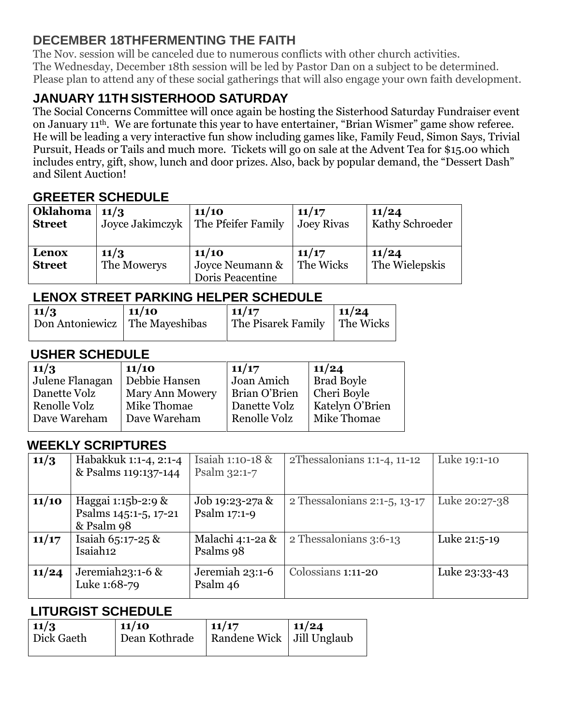### **DECEMBER 18THFERMENTING THE FAITH**

The Nov. session will be canceled due to numerous conflicts with other church activities. The Wednesday, December 18th session will be led by Pastor Dan on a subject to be determined. Please plan to attend any of these social gatherings that will also engage your own faith development.

# **JANUARY 11TH SISTERHOOD SATURDAY**

The Social Concerns Committee will once again be hosting the Sisterhood Saturday Fundraiser event on January 11th. We are fortunate this year to have entertainer, "Brian Wismer" game show referee. He will be leading a very interactive fun show including games like, Family Feud, Simon Says, Trivial Pursuit, Heads or Tails and much more. Tickets will go on sale at the Advent Tea for \$15.00 which includes entry, gift, show, lunch and door prizes. Also, back by popular demand, the "Dessert Dash" and Silent Auction!

### **GREETER SCHEDULE**

| <b>Oklahoma</b>        | 11/3                | 11/10                                        | 11/17              | 11/24                   |
|------------------------|---------------------|----------------------------------------------|--------------------|-------------------------|
| <b>Street</b>          | Joyce Jakimczyk     | The Pfeifer Family                           | <b>Joey Rivas</b>  | <b>Kathy Schroeder</b>  |
| Lenox<br><b>Street</b> | 11/3<br>The Mowerys | 11/10<br>Joyce Neumann &<br>Doris Peacentine | 11/17<br>The Wicks | 11/24<br>The Wielepskis |

#### **LENOX STREET PARKING HELPER SCHEDULE**

| $11/3$<br>Don Antoniewicz   The Mayeshibas | $\vert 11/10 \vert$ | 11/17<br>The Pisarek Family   The Wicks | 11/24 |
|--------------------------------------------|---------------------|-----------------------------------------|-------|
|                                            |                     |                                         |       |

### **USHER SCHEDULE**

| 11/3            | 11/10                  | 11/17         | 11/24                  |
|-----------------|------------------------|---------------|------------------------|
| Julene Flanagan | Debbie Hansen          | Joan Amich    | <b>Brad Boyle</b>      |
| Danette Volz    | <b>Mary Ann Mowery</b> | Brian O'Brien | Cheri Boyle            |
| Renolle Volz    | Mike Thomae            | Danette Volz  | <b>Katelyn O'Brien</b> |
| Dave Wareham    | Dave Wareham           | Renolle Volz  | Mike Thomae            |
|                 |                        |               |                        |

### **WEEKLY SCRIPTURES**

| 11/3  | Habakkuk 1:1-4, 2:1-4 | Isaiah 1:10-18 & | 2Thessalonians 1:1-4, 11-12       | Luke 19:1-10  |
|-------|-----------------------|------------------|-----------------------------------|---------------|
|       | & Psalms 119:137-144  | Psalm 32:1-7     |                                   |               |
|       |                       |                  |                                   |               |
| 11/10 | Haggai 1:15b-2:9 &    | Job 19:23-27a &  | 2 Thessalonians $2:1-5$ , $13-17$ | Luke 20:27-38 |
|       | Psalms 145:1-5, 17-21 | Psalm 17:1-9     |                                   |               |
|       | & Psalm 98            |                  |                                   |               |
| 11/17 | Isaiah 65:17-25 &     | Malachi 4:1-2a & | 2 Thessalonians 3:6-13            | Luke 21:5-19  |
|       | Isaiah <sub>12</sub>  | Psalms 98        |                                   |               |
|       |                       |                  |                                   |               |
| 11/24 | Jeremiah $23:1-6$ &   | Jeremiah 23:1-6  | Colossians 1:11-20                | Luke 23:33-43 |
|       | Luke 1:68-79          | Psalm 46         |                                   |               |
|       |                       |                  |                                   |               |

#### **LITURGIST SCHEDULE**

| $11/3$     | 11/10         | 11/17                       | 11/24 |
|------------|---------------|-----------------------------|-------|
| Dick Gaeth | Dean Kothrade | Randene Wick   Jill Unglaub |       |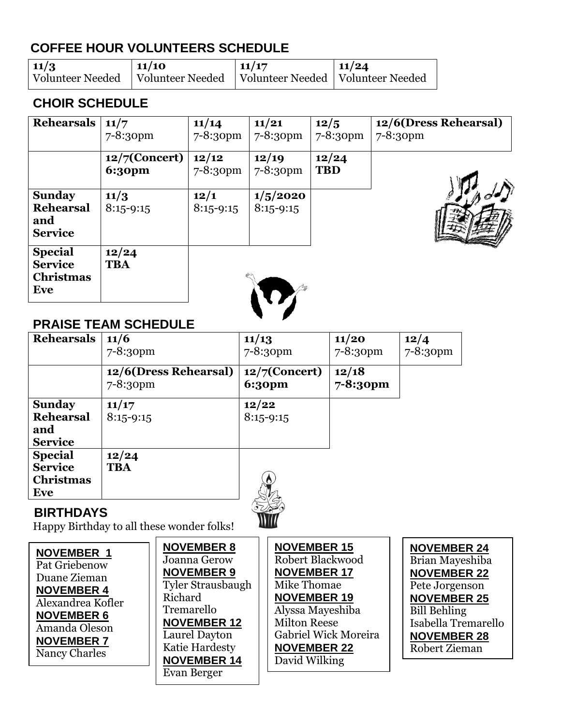# **COFFEE HOUR VOLUNTEERS SCHEDULE**

| 11/3 | 11/10                                                                     | $\vert$ 11/17 | 11/24 |
|------|---------------------------------------------------------------------------|---------------|-------|
|      | Volunteer Needed   Volunteer Needed   Volunteer Needed   Volunteer Needed |               |       |

### **CHOIR SCHEDULE**

| Rehearsals                                                  | 11/7<br>7-8:30pm                  | 11/14<br>$7 - 8:30$ pm | 11/21<br>7-8:30pm         | 12/5<br>$7 - 8:3$ opm | 12/6(Dress Rehearsal)<br>$7 - 8:30$ pm |
|-------------------------------------------------------------|-----------------------------------|------------------------|---------------------------|-----------------------|----------------------------------------|
|                                                             | $12/7$ (Concert)<br><b>6:30pm</b> | 12/12<br>7-8:30pm      | 12/19<br>7-8:30pm         | 12/24<br><b>TBD</b>   |                                        |
| <b>Sunday</b><br><b>Rehearsal</b><br>and<br><b>Service</b>  | 11/3<br>$8:15 - 9:15$             | 12/1<br>$8:15 - 9:15$  | 1/5/2020<br>$8:15 - 9:15$ |                       |                                        |
| <b>Special</b><br><b>Service</b><br><b>Christmas</b><br>Eve | 12/24<br><b>TBA</b>               |                        |                           |                       |                                        |

### **PRAISE TEAM SCHEDULE**

| <b>Rehearsals</b>                                           | 11/6<br>7-8:30pm                  | 11/13<br>$7 - 8:30$ pm            | 11/20<br>$7 - 8:30$ pm | 12/4<br>7-8:30pm |
|-------------------------------------------------------------|-----------------------------------|-----------------------------------|------------------------|------------------|
|                                                             | 12/6(Dress Rehearsal)<br>7-8:30pm | $12/7$ (Concert)<br><b>6:30pm</b> | 12/18<br>7-8:30pm      |                  |
| <b>Sunday</b><br><b>Rehearsal</b><br>and<br><b>Service</b>  | 11/17<br>$8:15-9:15$              | 12/22<br>$8:15 - 9:15$            |                        |                  |
| <b>Special</b><br><b>Service</b><br><b>Christmas</b><br>Eve | 12/24<br><b>TBA</b>               |                                   |                        |                  |
| RIBTH IN 11/A                                               |                                   |                                   |                        |                  |

### **BIRTHDAYS**

Happy Birthday to all these wonder folks!

| <b>NOVEMBER 1</b><br>Pat Griebenow<br>Duane Zieman<br><b>NOVEMBER 4</b><br>Alexandrea Kofler<br><b>NOVEMBER 6</b><br>Amanda Oleson<br><b>NOVEMBER 7</b><br>Nancy Charles | <b>NOVEMBER 8</b><br>Joanna Gerow<br><b>NOVEMBER 9</b><br><b>Tyler Strausbaugh</b><br>Richard<br>Tremarello<br><b>NOVEMBER 12</b><br>Laurel Dayton<br>Katie Hardesty<br><b>NOVEMBER 14</b><br>Evan Berger | <b>NOVEMBER 15</b><br>Robert Blackwood<br><b>NOVEMBER 17</b><br>Mike Thomae<br><b>NOVEMBER 19</b><br>Alyssa Mayeshiba<br><b>Milton Reese</b><br>Gabriel Wick Moreira<br><b>NOVEMBER 22</b><br>David Wilking | <b>NOVEMBER 24</b><br>Brian Mayeshiba<br><b>NOVEMBER 22</b><br>Pete Jorgenson<br><b>NOVEMBER 25</b><br><b>Bill Behling</b><br>Isabella Tremarello<br><b>NOVEMBER 28</b><br>Robert Zieman |
|--------------------------------------------------------------------------------------------------------------------------------------------------------------------------|-----------------------------------------------------------------------------------------------------------------------------------------------------------------------------------------------------------|-------------------------------------------------------------------------------------------------------------------------------------------------------------------------------------------------------------|------------------------------------------------------------------------------------------------------------------------------------------------------------------------------------------|
|--------------------------------------------------------------------------------------------------------------------------------------------------------------------------|-----------------------------------------------------------------------------------------------------------------------------------------------------------------------------------------------------------|-------------------------------------------------------------------------------------------------------------------------------------------------------------------------------------------------------------|------------------------------------------------------------------------------------------------------------------------------------------------------------------------------------------|

Will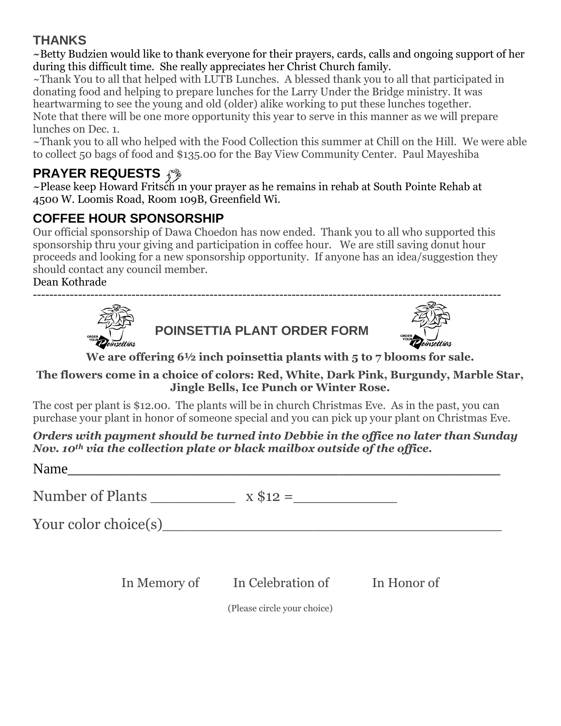### **THANKS**

~Betty Budzien would like to thank everyone for their prayers, cards, calls and ongoing support of her during this difficult time. She really appreciates her Christ Church family.

~Thank You to all that helped with LUTB Lunches. A blessed thank you to all that participated in donating food and helping to prepare lunches for the Larry Under the Bridge ministry. It was heartwarming to see the young and old (older) alike working to put these lunches together. Note that there will be one more opportunity this year to serve in this manner as we will prepare lunches on Dec. 1.

~Thank you to all who helped with the Food Collection this summer at Chill on the Hill. We were able to collect 50 bags of food and \$135.00 for the Bay View Community Center. Paul Mayeshiba

# **PRAYER REQUESTS**

~Please keep Howard Fritsch in your prayer as he remains in rehab at South Pointe Rehab at 4500 W. Loomis Road, Room 109B, Greenfield Wi.

# **COFFEE HOUR SPONSORSHIP**

Our official sponsorship of Dawa Choedon has now ended. Thank you to all who supported this sponsorship thru your giving and participation in coffee hour. We are still saving donut hour proceeds and looking for a new sponsorship opportunity. If anyone has an idea/suggestion they should contact any council member.

------------------------------------------------------------------------------------------------------------------

Dean Kothrade







**We are offering 6½ inch poinsettia plants with 5 to 7 blooms for sale.** 

#### **The flowers come in a choice of colors: Red, White, Dark Pink, Burgundy, Marble Star, Jingle Bells, Ice Punch or Winter Rose.**

The cost per plant is \$12.00. The plants will be in church Christmas Eve. As in the past, you can purchase your plant in honor of someone special and you can pick up your plant on Christmas Eve.

*Orders with payment should be turned into Debbie in the office no later than Sunday Nov. 10th via the collection plate or black mailbox outside of the office.*

Name  $\frac{1}{\sqrt{1-\frac{1}{2}}\sqrt{1-\frac{1}{2}}\sqrt{1-\frac{1}{2}}\sqrt{1-\frac{1}{2}}\sqrt{1-\frac{1}{2}}$ Number of Plants \_\_\_\_\_\_\_\_\_ x \$12 =\_\_\_\_\_\_\_\_\_\_\_ Your color choice(s) In Memory of In Celebration of In Honor of

(Please circle your choice)